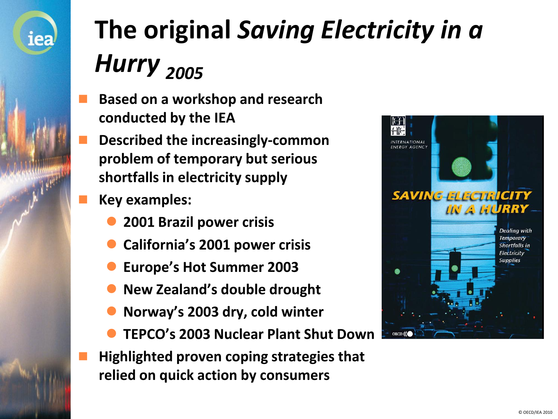

# **The original** *Saving Electricity in a Hurry <sup>2005</sup>*

- **Based on a workshop and research conducted by the IEA**
- **Described the increasingly-common problem of temporary but serious shortfalls in electricity supply**
- **Key examples:**
	- **2001 Brazil power crisis**
	- **California's 2001 power crisis**
	- **Europe's Hot Summer 2003**
	- **New Zealand's double drought**
	- **Norway's 2003 dry, cold winter**
	- **TEPCO's 2003 Nuclear Plant Shut Down**
- **Highlighted proven coping strategies that relied on quick action by consumers**

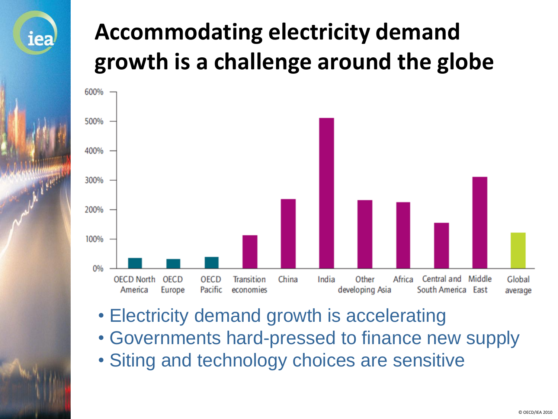#### **Accommodating electricity demand growth is a challenge around the globe**



- Electricity demand growth is accelerating
- Governments hard-pressed to finance new supply
- Siting and technology choices are sensitive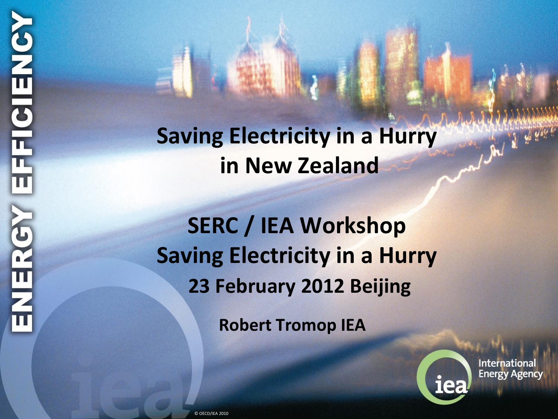#### **Saving Electricity in a Hurry in New Zealand**

#### **SERC / IEA Workshop Saving Electricity in a Hurry 23 February 2012 Beijing**

**Robert Tromop IEA**



**International Energy Agency** 

 $\int d^2y \, dx$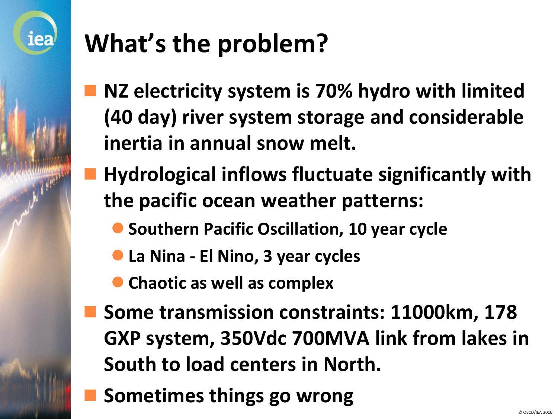

## **What's the problem?**

- **NZ electricity system is 70% hydro with limited (40 day) river system storage and considerable inertia in annual snow melt.**
- **Hydrological inflows fluctuate significantly with the pacific ocean weather patterns:**
	- **Southern Pacific Oscillation, 10 year cycle**
	- **La Nina - El Nino, 3 year cycles**
	- **Chaotic as well as complex**
- **Some transmission constraints: 11000km, 178 GXP system, 350Vdc 700MVA link from lakes in South to load centers in North.**
- **Sometimes things go wrong**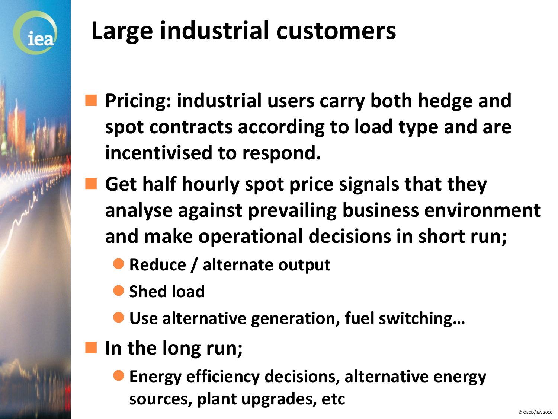

## **Large industrial customers**

- **Pricing: industrial users carry both hedge and spot contracts according to load type and are incentivised to respond.**
- **Get half hourly spot price signals that they analyse against prevailing business environment and make operational decisions in short run;**

**• Reduce / alternate output** 

**Shed load** 

**Use alternative generation, fuel switching…**

**In the long run;**

 **Energy efficiency decisions, alternative energy sources, plant upgrades, etc**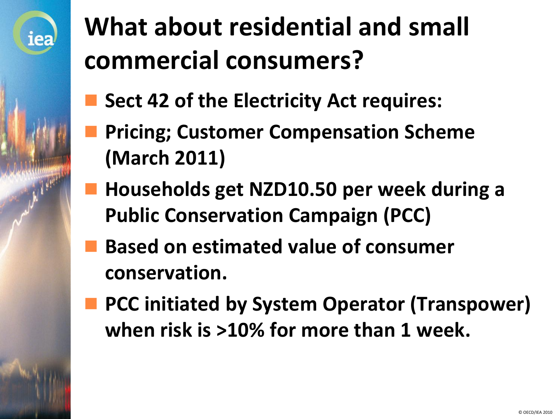

## **What about residential and small commercial consumers?**

- **Sect 42 of the Electricity Act requires:**
- **Pricing; Customer Compensation Scheme (March 2011)**
- **Households get NZD10.50 per week during a Public Conservation Campaign (PCC)**
- **Based on estimated value of consumer conservation.**
- **PCC initiated by System Operator (Transpower) when risk is >10% for more than 1 week.**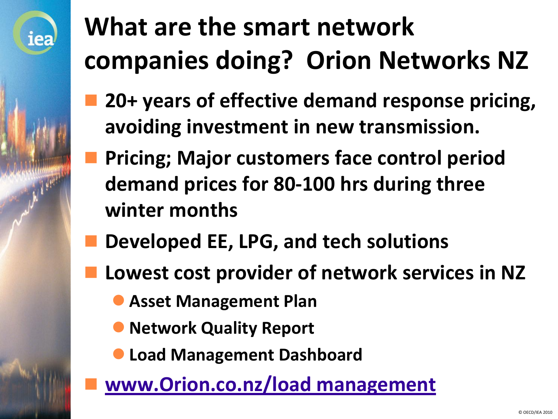## **What are the smart network companies doing? Orion Networks NZ**

- **20+ years of effective demand response pricing, avoiding investment in new transmission.**
- **Pricing; Major customers face control period demand prices for 80-100 hrs during three winter months**
- **Developed EE, LPG, and tech solutions**
- **Lowest cost provider of network services in NZ** 
	- **Asset Management Plan**

- **Network Quality Report**
- **Load Management Dashboard**
- **[www.Orion.co.nz/load management](http://www.orion.co.nz/loadmanagement)**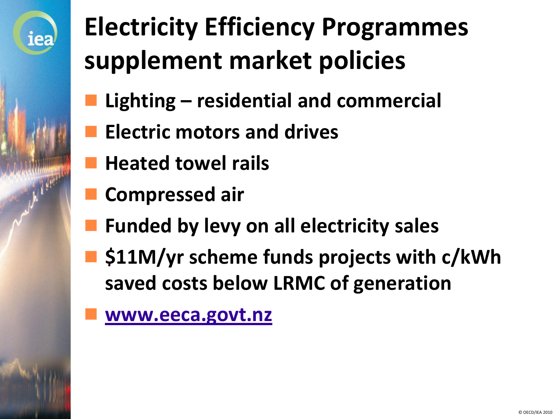

## **Electricity Efficiency Programmes supplement market policies**

- **Lighting – residential and commercial**
- **Electric motors and drives**
- **Heated towel rails**
- **Compressed air**
- **Funded by levy on all electricity sales**
- **\$11M/yr scheme funds projects with c/kWh saved costs below LRMC of generation**
- **[www.eeca.govt.nz](http://www.eeca.govt.nz/)**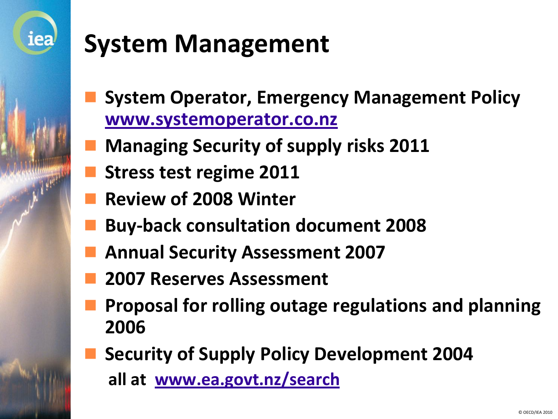

### **System Management**

- **System Operator, Emergency Management Policy [www.systemoperator.co.nz](http://www.systemoperator.co.nz/)**
- **Managing Security of supply risks 2011**
- **Stress test regime 2011**
- **Review of 2008 Winter**
- **Buy-back consultation document 2008**
- **Annual Security Assessment 2007**
- **2007 Reserves Assessment**
- **Proposal for rolling outage regulations and planning 2006**
- **Security of Supply Policy Development 2004 all at [www.ea.govt.nz/search](http://www.ea.govt.nz/search)**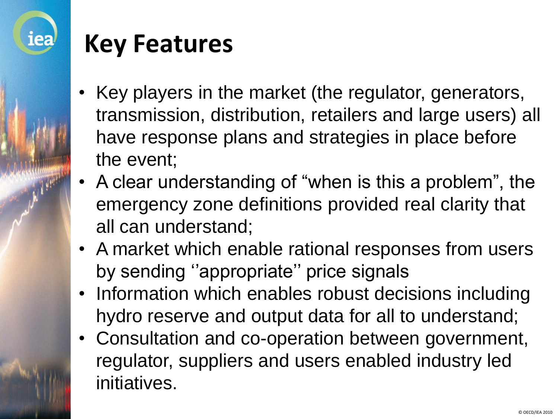

#### **Key Features**

- Key players in the market (the regulator, generators, transmission, distribution, retailers and large users) all have response plans and strategies in place before the event;
- A clear understanding of "when is this a problem", the emergency zone definitions provided real clarity that all can understand;
- A market which enable rational responses from users by sending ''appropriate'' price signals
- Information which enables robust decisions including hydro reserve and output data for all to understand;
- Consultation and co-operation between government, regulator, suppliers and users enabled industry led initiatives.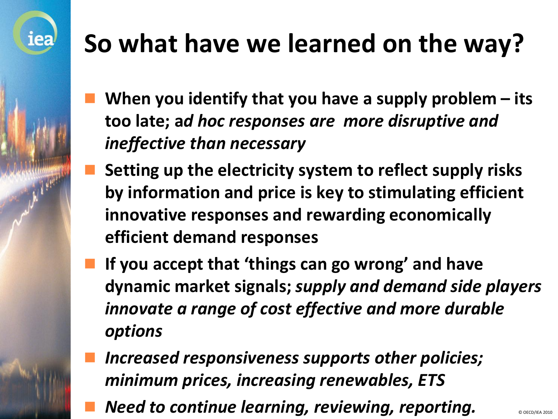## **So what have we learned on the way?**

- **When you identify that you have a supply problem – its too late; a***d hoc responses are more disruptive and ineffective than necessary*
- **Setting up the electricity system to reflect supply risks by information and price is key to stimulating efficient innovative responses and rewarding economically efficient demand responses**
- **If you accept that 'things can go wrong' and have dynamic market signals;** *supply and demand side players innovate a range of cost effective and more durable options*
- *Increased responsiveness supports other policies; minimum prices, increasing renewables, ETS*
- *Need to continue learning, reviewing, reporting.*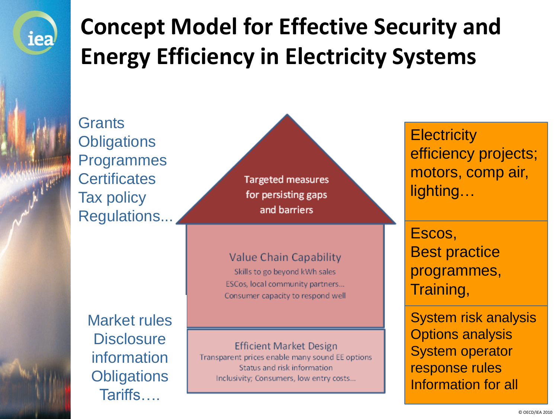

#### **Concept Model for Effective Security and Energy Efficiency in Electricity Systems**

**Grants Obligations** Programmes **Certificates** Tax policy Regulations...

> Market rules **Disclosure** information **Obligations** Tariffs….

**Targeted measures** for persisting gaps and barriers

#### Value Chain Capability

Skills to go beyond kWh sales ESCos, local community partners... Consumer capacity to respond well

**Efficient Market Design** 

Transparent prices enable many sound EE options Status and risk information Inclusivity; Consumers, low entry costs...

**Electricity** efficiency projects; motors, comp air, lighting…

Escos, Best practice programmes, Training,

System risk analysis Options analysis System operator response rules Information for all